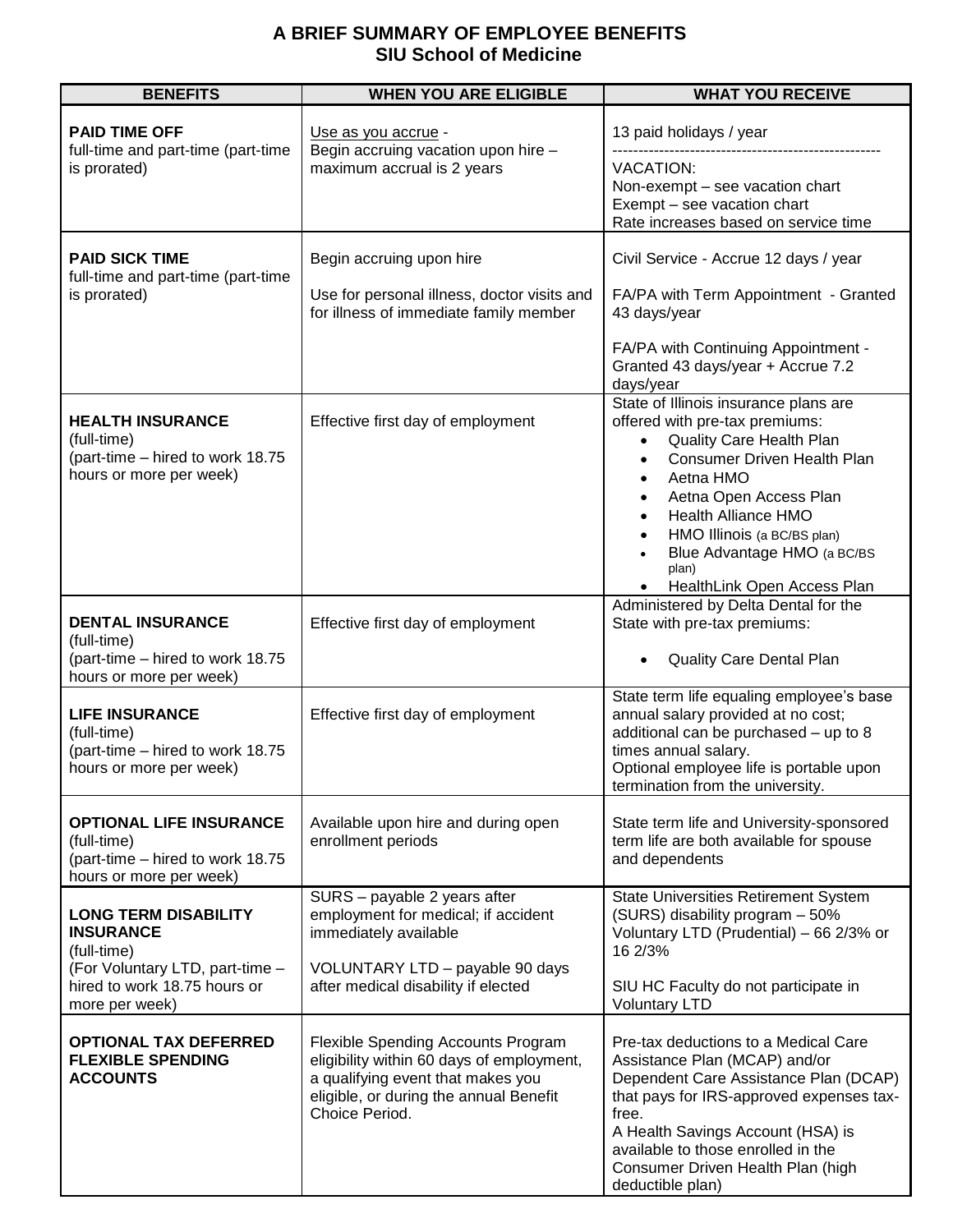## **A BRIEF SUMMARY OF EMPLOYEE BENEFITS SIU School of Medicine**

| <b>BENEFITS</b>                                                                                                                                     | <b>WHEN YOU ARE ELIGIBLE</b>                                                                                                                                                     | <b>WHAT YOU RECEIVE</b>                                                                                                                                                                                                                                                                                                                                                  |
|-----------------------------------------------------------------------------------------------------------------------------------------------------|----------------------------------------------------------------------------------------------------------------------------------------------------------------------------------|--------------------------------------------------------------------------------------------------------------------------------------------------------------------------------------------------------------------------------------------------------------------------------------------------------------------------------------------------------------------------|
| <b>PAID TIME OFF</b><br>full-time and part-time (part-time<br>is prorated)                                                                          | Use as you accrue -<br>Begin accruing vacation upon hire -<br>maximum accrual is 2 years                                                                                         | 13 paid holidays / year                                                                                                                                                                                                                                                                                                                                                  |
|                                                                                                                                                     |                                                                                                                                                                                  | <b>VACATION:</b><br>Non-exempt – see vacation chart<br>Exempt - see vacation chart<br>Rate increases based on service time                                                                                                                                                                                                                                               |
| <b>PAID SICK TIME</b><br>full-time and part-time (part-time<br>is prorated)                                                                         | Begin accruing upon hire                                                                                                                                                         | Civil Service - Accrue 12 days / year                                                                                                                                                                                                                                                                                                                                    |
|                                                                                                                                                     | Use for personal illness, doctor visits and<br>for illness of immediate family member                                                                                            | FA/PA with Term Appointment - Granted<br>43 days/year                                                                                                                                                                                                                                                                                                                    |
|                                                                                                                                                     |                                                                                                                                                                                  | FA/PA with Continuing Appointment -<br>Granted 43 days/year + Accrue 7.2<br>days/year                                                                                                                                                                                                                                                                                    |
| <b>HEALTH INSURANCE</b><br>(full-time)<br>(part-time - hired to work 18.75<br>hours or more per week)                                               | Effective first day of employment                                                                                                                                                | State of Illinois insurance plans are<br>offered with pre-tax premiums:<br>Quality Care Health Plan<br><b>Consumer Driven Health Plan</b><br>Aetna HMO<br>$\bullet$<br>Aetna Open Access Plan<br>$\bullet$<br><b>Health Alliance HMO</b><br>$\bullet$<br>HMO Illinois (a BC/BS plan)<br>$\bullet$<br>Blue Advantage HMO (a BC/BS<br>plan)<br>HealthLink Open Access Plan |
| <b>DENTAL INSURANCE</b><br>(full-time)<br>(part-time – hired to work 18.75                                                                          | Effective first day of employment                                                                                                                                                | Administered by Delta Dental for the<br>State with pre-tax premiums:<br>Quality Care Dental Plan                                                                                                                                                                                                                                                                         |
| hours or more per week)<br><b>LIFE INSURANCE</b><br>(full-time)<br>(part-time – hired to work 18.75<br>hours or more per week)                      | Effective first day of employment                                                                                                                                                | State term life equaling employee's base<br>annual salary provided at no cost;<br>additional can be purchased - up to 8<br>times annual salary.<br>Optional employee life is portable upon<br>termination from the university.                                                                                                                                           |
| <b>OPTIONAL LIFE INSURANCE</b><br>(full-time)<br>(part-time – hired to work 18.75<br>hours or more per week)                                        | Available upon hire and during open<br>enrollment periods                                                                                                                        | State term life and University-sponsored<br>term life are both available for spouse<br>and dependents                                                                                                                                                                                                                                                                    |
| <b>LONG TERM DISABILITY</b><br><b>INSURANCE</b><br>(full-time)<br>(For Voluntary LTD, part-time -<br>hired to work 18.75 hours or<br>more per week) | SURS - payable 2 years after<br>employment for medical; if accident<br>immediately available                                                                                     | <b>State Universities Retirement System</b><br>(SURS) disability program - 50%<br>Voluntary LTD (Prudential) - 66 2/3% or<br>16 2/3%                                                                                                                                                                                                                                     |
|                                                                                                                                                     | VOLUNTARY LTD - payable 90 days<br>after medical disability if elected                                                                                                           | SIU HC Faculty do not participate in<br><b>Voluntary LTD</b>                                                                                                                                                                                                                                                                                                             |
| <b>OPTIONAL TAX DEFERRED</b><br><b>FLEXIBLE SPENDING</b><br><b>ACCOUNTS</b>                                                                         | Flexible Spending Accounts Program<br>eligibility within 60 days of employment,<br>a qualifying event that makes you<br>eligible, or during the annual Benefit<br>Choice Period. | Pre-tax deductions to a Medical Care<br>Assistance Plan (MCAP) and/or<br>Dependent Care Assistance Plan (DCAP)<br>that pays for IRS-approved expenses tax-<br>free.<br>A Health Savings Account (HSA) is<br>available to those enrolled in the<br>Consumer Driven Health Plan (high<br>deductible plan)                                                                  |